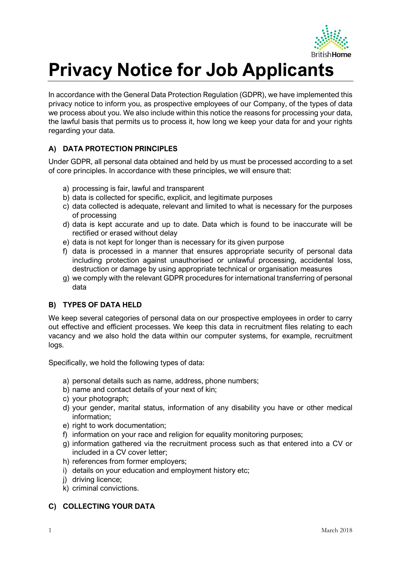

# **Privacy Notice for Job Applicants**

In accordance with the General Data Protection Regulation (GDPR), we have implemented this privacy notice to inform you, as prospective employees of our Company, of the types of data we process about you. We also include within this notice the reasons for processing your data, the lawful basis that permits us to process it, how long we keep your data for and your rights regarding your data.

# **A) DATA PROTECTION PRINCIPLES**

Under GDPR, all personal data obtained and held by us must be processed according to a set of core principles. In accordance with these principles, we will ensure that:

- a) processing is fair, lawful and transparent
- b) data is collected for specific, explicit, and legitimate purposes
- c) data collected is adequate, relevant and limited to what is necessary for the purposes of processing
- d) data is kept accurate and up to date. Data which is found to be inaccurate will be rectified or erased without delay
- e) data is not kept for longer than is necessary for its given purpose
- f) data is processed in a manner that ensures appropriate security of personal data including protection against unauthorised or unlawful processing, accidental loss, destruction or damage by using appropriate technical or organisation measures
- g) we comply with the relevant GDPR procedures for international transferring of personal data

#### **B) TYPES OF DATA HELD**

We keep several categories of personal data on our prospective employees in order to carry out effective and efficient processes. We keep this data in recruitment files relating to each vacancy and we also hold the data within our computer systems, for example, recruitment logs.

Specifically, we hold the following types of data:

- a) personal details such as name, address, phone numbers;
- b) name and contact details of your next of kin;
- c) your photograph;
- d) your gender, marital status, information of any disability you have or other medical information;
- e) right to work documentation;
- f) information on your race and religion for equality monitoring purposes;
- g) information gathered via the recruitment process such as that entered into a CV or included in a CV cover letter;
- h) references from former employers;
- i) details on your education and employment history etc;
- j) driving licence;
- k) criminal convictions.

# **C) COLLECTING YOUR DATA**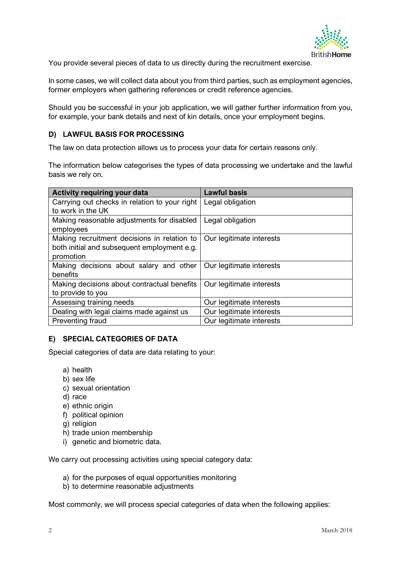

You provide several pieces of data to us directly during the recruitment exercise.

In some cases, we will collect data about you from third parties, such as employment agencies, former employers when gathering references or credit reference agencies.

Should you be successful in your job application, we will gather further information from you, for example, your bank details and next of kin details, once your employment begins.

#### **D) LAWFUL BASIS FOR PROCESSING**

The law on data protection allows us to process your data for certain reasons only.

The information below categorises the types of data processing we undertake and the lawful basis we rely on.

| <b>Activity requiring your data</b>           | <b>Lawful basis</b>      |
|-----------------------------------------------|--------------------------|
| Carrying out checks in relation to your right | Legal obligation         |
| to work in the UK                             |                          |
| Making reasonable adjustments for disabled    | Legal obligation         |
| employees                                     |                          |
| Making recruitment decisions in relation to   | Our legitimate interests |
| both initial and subsequent employment e.g.   |                          |
| promotion                                     |                          |
| Making decisions about salary and other       | Our legitimate interests |
| benefits                                      |                          |
| Making decisions about contractual benefits   | Our legitimate interests |
| to provide to you                             |                          |
| Assessing training needs                      | Our legitimate interests |
| Dealing with legal claims made against us     | Our legitimate interests |
| Preventing fraud                              | Our legitimate interests |

# **E) SPECIAL CATEGORIES OF DATA**

Special categories of data are data relating to your:

- a) health
- b) sex life
- c) sexual orientation
- d) race
- e) ethnic origin
- f) political opinion
- g) religion
- h) trade union membership
- i) genetic and biometric data.

We carry out processing activities using special category data:

- a) for the purposes of equal opportunities monitoring
- b) to determine reasonable adjustments

Most commonly, we will process special categories of data when the following applies: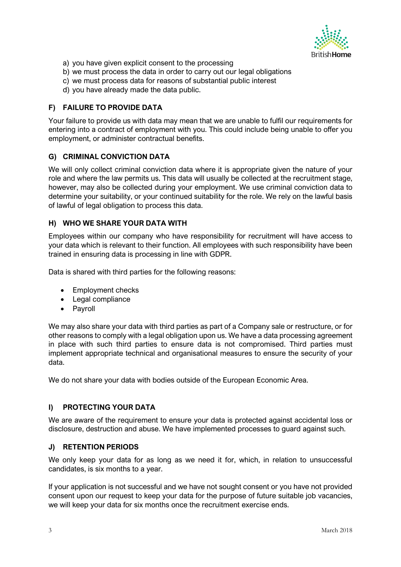

- a) you have given explicit consent to the processing
- b) we must process the data in order to carry out our legal obligations
- c) we must process data for reasons of substantial public interest
- d) you have already made the data public.

# **F) FAILURE TO PROVIDE DATA**

Your failure to provide us with data may mean that we are unable to fulfil our requirements for entering into a contract of employment with you. This could include being unable to offer you employment, or administer contractual benefits.

#### **G) CRIMINAL CONVICTION DATA**

We will only collect criminal conviction data where it is appropriate given the nature of your role and where the law permits us. This data will usually be collected at the recruitment stage, however, may also be collected during your employment. We use criminal conviction data to determine your suitability, or your continued suitability for the role. We rely on the lawful basis of lawful of legal obligation to process this data.

#### **H) WHO WE SHARE YOUR DATA WITH**

Employees within our company who have responsibility for recruitment will have access to your data which is relevant to their function. All employees with such responsibility have been trained in ensuring data is processing in line with GDPR.

Data is shared with third parties for the following reasons:

- Employment checks
- Legal compliance
- Payroll

We may also share your data with third parties as part of a Company sale or restructure, or for other reasons to comply with a legal obligation upon us. We have a data processing agreement in place with such third parties to ensure data is not compromised. Third parties must implement appropriate technical and organisational measures to ensure the security of your data.

We do not share your data with bodies outside of the European Economic Area.

#### **I) PROTECTING YOUR DATA**

We are aware of the requirement to ensure your data is protected against accidental loss or disclosure, destruction and abuse. We have implemented processes to guard against such.

#### **J) RETENTION PERIODS**

We only keep your data for as long as we need it for, which, in relation to unsuccessful candidates, is six months to a year.

If your application is not successful and we have not sought consent or you have not provided consent upon our request to keep your data for the purpose of future suitable job vacancies, we will keep your data for six months once the recruitment exercise ends.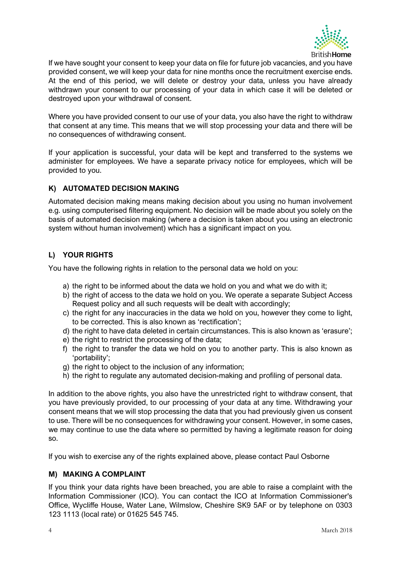

If we have sought your consent to keep your data on file for future job vacancies, and you have provided consent, we will keep your data for nine months once the recruitment exercise ends. At the end of this period, we will delete or destroy your data, unless you have already withdrawn your consent to our processing of your data in which case it will be deleted or destroyed upon your withdrawal of consent.

Where you have provided consent to our use of your data, you also have the right to withdraw that consent at any time. This means that we will stop processing your data and there will be no consequences of withdrawing consent.

If your application is successful, your data will be kept and transferred to the systems we administer for employees. We have a separate privacy notice for employees, which will be provided to you.

# **K) AUTOMATED DECISION MAKING**

Automated decision making means making decision about you using no human involvement e.g. using computerised filtering equipment. No decision will be made about you solely on the basis of automated decision making (where a decision is taken about you using an electronic system without human involvement) which has a significant impact on you.

# **L) YOUR RIGHTS**

You have the following rights in relation to the personal data we hold on you:

- a) the right to be informed about the data we hold on you and what we do with it;
- b) the right of access to the data we hold on you. We operate a separate Subject Access Request policy and all such requests will be dealt with accordingly;
- c) the right for any inaccuracies in the data we hold on you, however they come to light, to be corrected. This is also known as 'rectification';
- d) the right to have data deleted in certain circumstances. This is also known as 'erasure';
- e) the right to restrict the processing of the data;
- f) the right to transfer the data we hold on you to another party. This is also known as 'portability';
- g) the right to object to the inclusion of any information;
- h) the right to regulate any automated decision-making and profiling of personal data.

In addition to the above rights, you also have the unrestricted right to withdraw consent, that you have previously provided, to our processing of your data at any time. Withdrawing your consent means that we will stop processing the data that you had previously given us consent to use. There will be no consequences for withdrawing your consent. However, in some cases, we may continue to use the data where so permitted by having a legitimate reason for doing so.

If you wish to exercise any of the rights explained above, please contact Paul Osborne

#### **M) MAKING A COMPLAINT**

If you think your data rights have been breached, you are able to raise a complaint with the Information Commissioner (ICO). You can contact the ICO at Information Commissioner's Office, Wycliffe House, Water Lane, Wilmslow, Cheshire SK9 5AF or by telephone on 0303 123 1113 (local rate) or 01625 545 745.